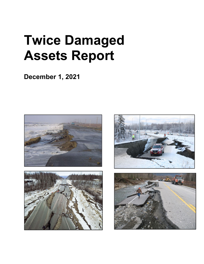# **Twice Damaged Assets Report**

**December 1, 2021** 







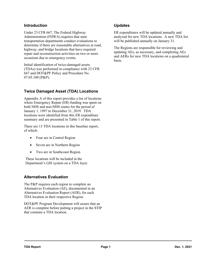#### **Introduction**

Under 23 CFR 667, The Federal Highway Administration (FHWA) requires that state transportation departments conduct evaluations to determine if there are reasonable alternatives at road, highway, and bridge locations that have required repair and reconstruction activities on two or more occasions due to emergency events.

Initial identification of twice-damaged assets (TDAs) was performed in compliance with 23 CFR 667 and DOT&PF Policy and Procedure No. 07.05.100 (P&P).

#### **Twice Damaged Asset (TDA) Locations**

Appendix A of this report provides a list of locations where Emergency Repair (ER) funding was spent on both NHS and non-NHS routes for the period of January 1, 1997 to December 31, 2019. TDA locations were identified from this ER expenditure summary and are presented in Table 1 of this report.

There are 13 TDA locations in this baseline report, of which:

- Four are in Central Region
- Seven are in Northern Region
- Two are in Southcoast Region

These locations will be included in the Department's GIS system on a TDA layer.

#### **Alternatives Evaluation**

The P&P requires each region to complete an Alternatives Evaluation (AE), documented in an Alternatives Evaluation Report (AER), for each TDA location in their respective Region.

DOT&PF Program Development will assure that an AER is complete before putting a project in the STIP that contains a TDA location.

#### **Updates**

ER expenditures will be updated annually and analyzed for new TDA locations. A new TDA list will be published annually on January 31.

The Regions are responsible for reviewing and updating AEs, as necessary, and completing AEs and AERs for new TDA locations on a quadrennial basis.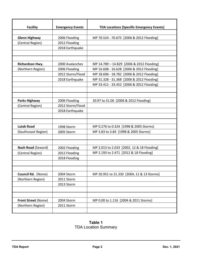| <b>Facility</b>      | <b>Emergency Events</b> | <b>TDA Locations [Specific Emergency Events]</b> |
|----------------------|-------------------------|--------------------------------------------------|
|                      |                         |                                                  |
| <b>Glenn Highway</b> | 2006 Flooding           | MP 70.524 - 70.675 [2006 & 2012 Flooding]        |
| (Central Region)     | 2012 Flooding           |                                                  |
|                      | 2018 Earthquake         |                                                  |
|                      |                         |                                                  |
|                      |                         |                                                  |
| Richardson Hwy.      | 2000 Avalanches         | MP 14.789 - 14.829 [2006 & 2012 Flooding]        |
| (Northern Region)    | 2006 Flooding           | MP 16.608 - 16.628 [2006 & 2012 Flooding]        |
|                      | 2012 Storm/Flood        | MP 18.696 - 18.782 [2006 & 2012 Flooding]        |
|                      | 2018 Earthquake         | MP 31.328 - 31.368 [2006 & 2012 Flooding]        |
|                      |                         | MP 33.412 - 33.452 [2006 & 2012 Flooding]        |
|                      |                         |                                                  |
|                      |                         |                                                  |
| <b>Parks Highway</b> | 2006 Flooding           | 30.97 to 31.06 [2006 & 2012 Flooding]            |
| (Central Region)     | 2012 Storm/Flood        |                                                  |
|                      | 2018 Earthquake         |                                                  |
|                      |                         |                                                  |
|                      |                         |                                                  |
| <b>Lutak Road</b>    | 1998 Storm              | MP 0.276 to 0.324 [1998 & 2005 Storms]           |
| (Southcoast Region)  | 2005 Storm              | MP 3.83 to 3.84 [1998 & 2005 Storms]             |
|                      |                         |                                                  |
|                      |                         |                                                  |
| Nash Road (Seward)   | 2002 Flooding           | MP 2.013 to 2.033 [2002, 12 & 18 Flooding]       |
| (Central Region)     | 2012 Flooding           | MP 2.193 to 2.471 [2012 & 18 Flooding]           |
|                      | 2018 Flooding           |                                                  |
|                      |                         |                                                  |
|                      |                         |                                                  |
| Council Rd. (Nome)   | 2004 Storm              | MP 20.951 to 21.330 [2004, 11 & 13 Storms]       |
| (Northern Region)    | 2011 Storm              |                                                  |
|                      | 2013 Storm              |                                                  |
|                      |                         |                                                  |
|                      |                         |                                                  |
| Front Street (Nome)  | 2004 Storm              | MP 0.00 to 1.116 [2004 & 2011 Storms]            |
| (Northern Region)    | 2011 Storm              |                                                  |
|                      |                         |                                                  |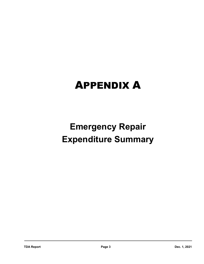## APPENDIX A

### **Emergency Repair Expenditure Summary**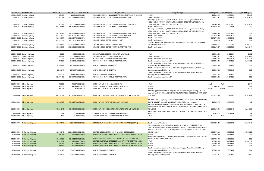|             | Route ID * Route Name          | <b>From MP</b> | To MP<br>Fed. Proj. No. | <b>Project Name</b>                                          | <b>Project Scope</b>                                                                                                                                | Fed Expend.   | Total Expend. | Length (Miles) |
|-------------|--------------------------------|----------------|-------------------------|--------------------------------------------------------------|-----------------------------------------------------------------------------------------------------------------------------------------------------|---------------|---------------|----------------|
|             | 1000000X000 Sterling Highway   | 76.107         | 115.724 0092(007)       | KENAI AREA REPAIRS - NOV 2018 EARTHQUAKE PERMANENT REPAIRS   | <null></null>                                                                                                                                       | 224498.29     | 243266.4      | 39.617         |
|             | 1000000X000 Sterling Highway   | 95.503719      | 95.534733 0075(006)     | KENAI PEN FLOOD OCT 02, PERMANENT REPAIRS, PH I              | See file for locations                                                                                                                              | 1591178.37    | 1790124.38    | 0.031014       |
|             |                                |                |                         |                                                              | Sterling Hwy MP 135, 138, 140.9, 150, 157, 160.5, 168, Bridge Numbers: 0669,                                                                        |               |               |                |
|             |                                |                |                         |                                                              | 4021, 4020; INVENTORY ROUTE NUMBER: 110000 MILEPOINT: 27.170-27.910,                                                                                |               |               |                |
|             | 1000000X000 Sterling Highway   | 95.503719      | 95.53355 0075(002)      | KENAI PEN FLOOD OCT 02, PERMANENT REPAIRS, PH II AK03-1      | 39.48, 21.4, 18.5, 10.78-10.81, 42.51-42.52, 37.43                                                                                                  | 442667.33     | 485608.05     | 0.029831       |
|             | 1000000X000 Sterling Highway   | 98.370383      | 98.390383 0075(004)     | KENAI PEN FLOOD OCT 02 - KENAI TO DEEP CREEK                 | See file for locations                                                                                                                              | 5171792.92    | 5177280.8     | 0.02           |
|             |                                |                |                         |                                                              |                                                                                                                                                     |               |               |                |
|             |                                |                |                         |                                                              | Sterling Hwy MP 135, 138, 140.9, 150, 157, 160.5, 168, Bridge Numbers: 0669,                                                                        |               |               |                |
|             |                                |                |                         |                                                              | 4021, 4020; INVENTORY ROUTE NUMBER: 110000 MILEPOINT: 27.170-27.910,                                                                                |               |               |                |
|             | 1000000X000 Sterling Highway   | 98.370384      | 98.390383 0075(002)     | KENAI PEN FLOOD OCT 02, PERMANENT REPAIRS, PH II AK03-1      | 39.48, 21.4, 18.5, 10.78-10.81, 42.51-42.52, 37.43                                                                                                  | 442667.33     | 485608.05     | 0.02           |
|             | 1000000X000 Sterling Highway   | 101.277595     | 101.297595 0075(006)    | KENAI PEN FLOOD OCT 02, PERMANENT REPAIRS, PH I              | See file for locations                                                                                                                              | 1591178.37    | 17090124.38   | 0.02           |
|             | 1000000X000 Sterling Highway   | 101.310774     | 101.330774 0075(004)    | KENAI PEN FLOOD OCT 02 - KENAI TO DEEP CREEK                 | See file for locations                                                                                                                              | 5171792.92    | 5177280.8     | 0.02           |
|             | 1000000X000 Sterling Highway   | 109.932563     | 109.952562 0075(005)    | KENAI PEN FLOOD OCT 02 - ANCHOR POINT                        | See file for locations                                                                                                                              | 2607620       | 2607620       | 0.02           |
|             |                                |                |                         |                                                              | Stariski Creek Bridge, Sterling Highway (Bridge #667); INVENTORY ROUTE NUMBER:                                                                      |               |               |                |
|             | 1000000X000 Sterling Highway   | 110.80867      | 110.838382 0075(001)    | STERLING HWY: STARISKI CR BRIDGE #0667                       | 110000 MILEPOINT: 27.170                                                                                                                            | 3843295.61    | 3843295.61    | 0.029712       |
|             | 1000000X000 Sterling Highway   | 110.808679     | 110.838924 0075(006)    | KENAI PEN FLOOD OCT 02, PERMANENT REPAIRS, PH I              | See file for locations                                                                                                                              | 1591178.37    | 1790124.38    | 0.030244       |
|             |                                |                |                         |                                                              |                                                                                                                                                     |               |               |                |
|             | 1020000X000 Seward Highway     | 3.005          | 6.996 0085(011)         | SEWARD FLOOD 2012 EMER REPAIRS FHWA AK12-2                   | <null></null>                                                                                                                                       | 134315.64     | 134315.64     | 3.991          |
|             | 1020000X000 Seward Highway     | 3.068291       | 3.111939 0075(007)      | KENAI PEN FLOOD OCT 02 - SEWARD AREA                         | See file for locations                                                                                                                              | 331024.57     | 331024.57     | 0.043648       |
|             | 1020000X000 Seward Highway     | 3.542792       | 3.554006 0081(009)      | OCTOBER 2006 CR FLOOD EVENT REPAIRS, FHWA                    | See file for various locations in CR                                                                                                                | 1052045.86    | 1104973.28    | 0.011214       |
|             | 1020000X000 Seward Highway     | 4.0626         | 5.020731 0081(009)      | OCTOBER 2006 CR FLOOD EVENT REPAIRS, FHWA                    | See file for various locations in CR                                                                                                                | 1052045.86    | 1104973.28    | 0.958131       |
|             |                                |                |                         |                                                              | See file for various locations along Richardson, Copper River, Glenn, Old Glenn,                                                                    |               |               |                |
|             | 1020000X000 Seward Highway     | 18.599532      | 18.619532 0072(001)     | WINTER '00 AVALANCHE REPAIRS                                 | Sterling, and Seward Highways                                                                                                                       | 756451.86     | 775643.7      | 0.02           |
|             |                                |                |                         |                                                              | See file for various locations along Richardson, Copper River, Glenn, Old Glenn,                                                                    |               |               |                |
|             | 1020000X000 Seward Highway     | 20.69647       | 20.71647 0072(001)      | WINTER '00 AVALANCHE REPAIRS                                 | Sterling, and Seward Highways                                                                                                                       | 756451.86     | 775643.7      | 0.02           |
|             |                                |                |                         |                                                              | See file for various locations along Richardson, Copper River, Glenn, Old Glenn,                                                                    |               |               |                |
|             | 1020000X000 Seward Highway     | 21.64102       | 21.66102 0072(001)      | WINTER '00 AVALANCHE REPAIRS                                 | Sterling, and Seward Highways                                                                                                                       | 756451.86     | 775643.7      | 0.02           |
|             | 1020000X000 Seward Highway     | 22.777495      | 22.797495 0081(009)     | OCTOBER 2006 CR FLOOD EVENT REPAIRS, FHWA                    | See file for various locations in CR                                                                                                                | 1052045.86    | 1104973.28    | 0.02           |
|             |                                |                |                         |                                                              |                                                                                                                                                     |               |               |                |
|             | 10600001000 Glenn Highway      | 46.063         | 48.007 0091(012)        | GLENN HWY MP 40-68 - NOV 2018 EQ PR                          | <null></null>                                                                                                                                       | <null></null> | <null></null> | 1.944          |
|             | 10600001000 Glenn Highway      | 46.908         | 46.948 0085(013)        | PALMER FLOOD 2012 EMER REPAIRS FHWA AK12-2                   | <null></null>                                                                                                                                       | 161084.97     | 178721.63     | 0.04           |
|             | 10600001000 Glenn Highway      | 59.771         | 61 0091(012)            | GLENN HWY MP 40-68 - NOV 2018 EQ PR                          | <null></null>                                                                                                                                       | <null></null> | <null></null> | 1.229          |
|             |                                |                |                         |                                                              | MP 67.9 approximately 125 ft long. MP 78 is approximately 800 ft long. MP 85 is                                                                     |               |               |                |
|             |                                |                |                         |                                                              | approximately 300 ft long. INVENTORY ROUTE NUMBER: 135000 MILEPOINT: 60.77,                                                                         |               |               |                |
|             |                                |                |                         |                                                              |                                                                                                                                                     | 2159178.95    | 2225228.48    | 0.023674       |
|             | 10600001000 Glenn Highway      | 60.758163      | 60.781837 0085(010)     | GLENN HWY FLOOD 2012: EMER REPAIRS MP 67.9, MP 78, MP 85     | 70.6, 77.85                                                                                                                                         |               |               |                |
|             |                                |                |                         |                                                              |                                                                                                                                                     |               |               |                |
|             | 10600001000 Glenn Highway      |                |                         |                                                              | FAI 0A1-5 Glenn Highway, Milepoint 70.6 to Milepoint 70.8; Site GH 2. INVENTORY                                                                     | 218049.75     |               |                |
|             |                                | 70.482379      | 70.682379 0081(008)     | GLENN HWY: MP 78 REPAIR, 2006 MAT-SU FLOOD                   | ROUTE NUMBER: 1350000 MILEPOINT: 70.6 to 70.8 (rural interstate)<br>MP 67.9 approximately 125 ft long. MP 78 is approximately 800 ft long. MP 85 is |               | 233392.93     | 0.2            |
|             |                                |                |                         |                                                              |                                                                                                                                                     |               |               |                |
|             |                                |                |                         |                                                              | approximately 300 ft long. INVENTORY ROUTE NUMBER: 135000 MILEPOINT: 60.77,                                                                         |               |               |                |
|             | 10600001000 Glenn Highway      | 70.524242      | 70.675758 0085(010)     | GLENN HWY FLOOD 2012: EMER REPAIRS MP 67.9, MP 78, MP 85     | 70.6, 77.85                                                                                                                                         | 2159178.95    | 2225228.48    | 0.151515       |
|             |                                |                |                         |                                                              | Glenn Hwy, CDS #135000, Milepoint 70.6 - milepoint 72.9; 10600001000 BMP: 70.6                                                                      |               |               |                |
|             | 10600001000 Glenn Highway      | 70.6           | 72.9 0085(008)          | CASCADE FLOOD 2012 EMER REPAIRS FHWA AK12-2                  | EMP: 72.9                                                                                                                                           | 100534.8      | 100534.8      | 2.3            |
|             | 10600001000 Glenn Highway      | 70.6           | 72.9 0085(008)          | CASCADE FLOOD 2012 EMER REPAIRS FHWA AK12-2                  | <null></null>                                                                                                                                       | <null></null> | <null></null> | 2.3            |
|             |                                |                |                         |                                                              |                                                                                                                                                     |               |               |                |
|             | 11000001000 Richardson Highway | 13.579045      | 83.84239 0081(003)      | NOR REG ER: RICHARDSON HWY FLOODING PERM REP (OCT '06)       | See file for exact locations                                                                                                                        | 10271886.44   | 11292509.76   | 70.263345      |
|             |                                |                |                         |                                                              | Various locations along: Richardson Hwy between MP 10-228.4(MIPT 13.606-                                                                            |               |               |                |
|             |                                |                |                         |                                                              | 231.118); Edgerton Hwy between MP 19.5-28.4 (MIPT 19.326-28.423); McCarthy Rd                                                                       |               |               |                |
|             |                                |                |                         |                                                              | between MP 0.5-57.6 (34.542-91.98); Copper River Hwy between MP 14-36 (MIPT                                                                         |               |               |                |
|             | 11000001000 Richardson Highway | 13.579045      | 231.317334 0081(001)    | NOR REG FLOODING EMERGENCY REPAIRS - OCTOBER 2006            | 13.996-36.245)                                                                                                                                      | 9038975.11    | 9057835.62    | 217.73829      |
|             | 11000001000 Richardson Highway | 14.789         | 14.829 0085(001)        | NOR REG ER: STORMS SEPT 2012 (PARKS HWY MP 240 REPAIRS 2013) | <null></null>                                                                                                                                       | 1735351.58    | 1846743.2     | 0.04           |
|             |                                |                |                         |                                                              | Richardson Highway MP 12.8 (Approximate length 0.123 miles) INVENTORY ROUTE                                                                         |               |               |                |
| 11000001000 | <b>Richardson Highway</b>      | 16.608198      | 16.628198 0081(010)     | NOR REG ER: RICHARDSON HWY FLOOD PERM REP-12.8 MILE DIKE     | NUMBER: 190000 MILEPOINT: MP12.8                                                                                                                    | 1097069.78    | 1205968.13    | 0.02           |
| 11000001000 | <b>Richardson Highway</b>      | 18.695864      | 18.782216 0085(001)     | NOR REG ER: STORMS SEPT 2012 (PARKS HWY MP 240 REPAIRS 2013) | <null></null>                                                                                                                                       | 1735351.58    | 1846743.2     | 0.086352       |
| 11000001000 | <b>Richardson Highway</b>      | 31.328         | 31.368 0085(001)        | NOR REG ER: STORMS SEPT 2012 (PARKS HWY MP 240 REPAIRS 2013) | <null></null>                                                                                                                                       | 1735351.58    | 1846743.2     | 0.04           |
|             | 11000001000 Richardson Highway | 33.412         | 33.452 0085(001)        | NOR REG ER: STORMS SEPT 2012 (PARKS HWY MP 240 REPAIRS 2013) | <null></null>                                                                                                                                       | 1735351.58    | 1846743.2     | 0.04           |
|             |                                |                |                         |                                                              | See file for various locations along Richardson, Copper River, Glenn, Old Glenn,                                                                    |               |               |                |
|             | 11000001000 Richardson Highway | 36.24923       | 36.28923 0072(001)      | WINTER '00 AVALANCHE REPAIRS                                 | Sterling, and Seward Highways                                                                                                                       | 756451.86     | 775643.7      | 0.04           |
|             |                                |                |                         |                                                              | See file for various locations along Richardson, Copper River, Glenn, Old Glenn,                                                                    |               |               |                |
|             | 11000001000 Richardson Highway | 36.56823       | 36.57023 0072(001)      | WINTER '00 AVALANCHE REPAIRS                                 | Sterling, and Seward Highways                                                                                                                       | 756451.86     | 775643.7      | 0.002          |
|             |                                |                |                         |                                                              |                                                                                                                                                     |               |               |                |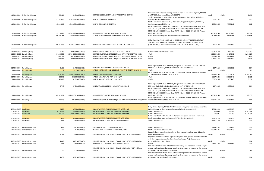|                        | 11000001000 Richardson Highway                                   | 38.414             | 40.51 0081(004)                        | NOR REG FLOODING PERMANENT PIPE REPAIRS (OCT '06)                                                                            | Embankment repairs and drainage structure work at Richardson Highway MP 34.5<br>and MP 35.5. Emergency Disaster#AK-2007-1.<br>See file for various locations along Richardson, Copper River, Glenn, Old Glenn,                                                                                          | <null></null>            | <null></null>           | 2.096          |
|------------------------|------------------------------------------------------------------|--------------------|----------------------------------------|------------------------------------------------------------------------------------------------------------------------------|---------------------------------------------------------------------------------------------------------------------------------------------------------------------------------------------------------------------------------------------------------------------------------------------------------|--------------------------|-------------------------|----------------|
|                        | 11000001000 Richardson Highway                                   | 42.011586          | 42.031586 0072(001)                    | WINTER '00 AVALANCHE REPAIRS                                                                                                 | Sterling, and Seward Highways                                                                                                                                                                                                                                                                           | 756451.86                | 775643.7                | 0.02           |
|                        | 11000001000 Richardson Highway                                   | 45.221862          | 45.241862 0072(001)                    | WINTER '00 AVALANCHE REPAIRS                                                                                                 | See file for various locations along Richardson, Copper River, Glenn, Old Glenn,<br>Sterling, and Seward Highways<br>CDS#: 230000 (Tok Cutoff) MIPT: 42.072-95.736; 190000 (Richardson Hwy) MIPT:<br>199.726-223.5; 180800 (Northway Rd) MIPT: 0.242-7.0; 237000 (Nabesna Rd)                           | 756451.86                | 775643.7                | 0.02           |
|                        | 11000001000 Richardson Highway                                   | 199.724273         | 223.498273 0074(001)                   | DENALI EARTHQUAKE ER TEMPORARY REPAIRS                                                                                       | MIPT: 0.0-3.957; 170000 (Parks Hwy) MIPT: 202.456 & 222.414; 180000 (Alaska<br>Hwy) MIPT: 78.974                                                                                                                                                                                                        | 6061165.49               | 6061165.49              | 23.774         |
|                        | 11000001000 Richardson Highway                                   | 199.896258         | 222.983256 0074(004)                   | RICHARDSON HWY EARTHQUAKE PERMANENT REPAIRS                                                                                  | 071-4 Richardson Highway between MP 197 and MP 220.                                                                                                                                                                                                                                                     | 1606000.24               | 1765430.55              | 23.086998      |
|                        |                                                                  |                    |                                        |                                                                                                                              | Richardson Hwy (CDS# 19000) MP 94 (MIPT 98), 145 (MIPT 146.709), 161 (MIPT<br>163.283), 206.8 (MIPT 209), 223 (MIPT 225.753), 224.5 (MIPT 226.748), 228.4                                                                                                                                               |                          |                         |                |
|                        | 11000001000 Richardson Highway                                   | 209.867053         | 209.887053 0080(001)                   | NOR REG FLOODING EMERGENCY REPAIRS - AUGUST 2006                                                                             | (MIPT 230.742); Copper River Hwy (CDS #210000) MP 15 (MIPT: 15.037)                                                                                                                                                                                                                                     | 710132.87                | 710132.87               | 0.02           |
|                        | 1120000X000 Denali Highway                                       | 0.219              | 130.588 0090(010)                      | NOR REG ER: ICE JAM FLOODING - MAY 2013 - FHWA                                                                               | Includes various communities as well                                                                                                                                                                                                                                                                    | 2554501.09               | 2796761                 | 130.369        |
|                        | 1120000X000 Denali Highway                                       | 104.325756         | 104.340682 0085(001)                   | NOR REG ER: STORMS SEPT 2012 (PARKS HWY MP 240 REPAIRS 2013)                                                                 | <null></null>                                                                                                                                                                                                                                                                                           | 1735351.58               | 1846743.2               | 0.014927       |
|                        | 1120000X000 Denali Highway<br>1120000X000 Denali Highway         | 112.114<br>118.366 | 112.205 0085(001)<br>120.872 0085(001) | NOR REG ER: STORMS SEPT 2012 (PARKS HWY MP 240 REPAIRS 2013)<br>NOR REG ER: STORMS SEPT 2012 (PARKS HWY MP 240 REPAIRS 2013) | <null><br/><null></null></null>                                                                                                                                                                                                                                                                         | 1735351.58<br>1735351.58 | 1846743.2<br>1846743.2  | 0.091<br>2.506 |
|                        |                                                                  |                    |                                        |                                                                                                                              |                                                                                                                                                                                                                                                                                                         |                          |                         |                |
|                        |                                                                  |                    |                                        |                                                                                                                              | Parks Highway, CDS route #170000, Milepoint 21.7 and 47.5; CDS: 11400001000                                                                                                                                                                                                                             |                          |                         |                |
|                        | 11400001000 Parks Highway                                        | 21.68              | 21.72 0085(006)                        | WILLOW FLOOD 2012 EMER REPAIRS FHWA AK12-2                                                                                   | BMP: 21.7 EMP: 21.7 1,& CDS: 11400001000 BMP: 47.5 EMP: 47.5                                                                                                                                                                                                                                            | 13792.16                 | 13792.16                | 0.04           |
|                        | 11400001000 Parks Highway                                        | 21.7               | 47.7 0085(003)                         | MAT-SU SEPTEMBER 2012 FLOODING, PERMANENT REPAIRS AK12-2                                                                     | $\leq$ Null $\geq$<br>Parks Highway MP 66.3, MP 133, MP 133.3, MP 138, INVENTORY ROUTE NUMBER:                                                                                                                                                                                                          | <null></null>            | <null></null>           | 26             |
|                        | 11400001000 Parks Highway                                        | 30.9715            | 31.057283 0080(002)                    | MAT-SU FLOOD REPAIRS 06-PARKS HWY                                                                                            | 170000 MILEPOINT: 31.560, 97.5, 97.2, 102                                                                                                                                                                                                                                                               | 1871227.24               | 1871227.24              | 0.085782       |
|                        | 11400001000 Parks Highway                                        | 32.871             | 33.992 0092(008)                       | MAT-SU AREA REPAIRS - NOV 2018 EQ PR                                                                                         | <null></null>                                                                                                                                                                                                                                                                                           | 358703.35                | 390964.43               | 1.121          |
|                        | 11400001000 Parks Highway                                        | 40.619             | 41.61 0092(008)                        | MAT-SU AREA REPAIRS - NOV 2018 EQ PR                                                                                         | <null></null>                                                                                                                                                                                                                                                                                           | 358703.35                | 390964.43               | 0.991          |
|                        | 11400001000 Parks Highway                                        | 47.48              | 47.52 0085(006)                        | WILLOW FLOOD 2012 EMER REPAIRS FHWA AK12-2                                                                                   | Parks Highway, CDS route #170000, Milepoint 21.7 and 47.5; CDS: 11400001000<br>BMP: 21.7 EMP: 21.7 1,& CDS: 11400001000 BMP: 47.5 EMP: 47.5<br>CDS#: 230000 (Tok Cutoff) MIPT: 42.072-95.736; 190000 (Richardson Hwy) MIPT:<br>199.726-223.5; 180800 (Northway Rd) MIPT: 0.242-7.0; 237000 (Nabesna Rd) | 13792.16                 | 13792.16                | 0.04           |
|                        | 11400001000 Parks Highway                                        | 202.463081         | 222.421081 0074(001)                   | DENALI EARTHQUAKE ER TEMPORARY REPAIRS                                                                                       | MIPT: 0.0-3.957; 170000 (Parks Hwy) MIPT: 202.456 & 222.414; 180000 (Alaska<br>Hwy) MIPT: 78.974<br>Parks Highway MP 66.3, MP 133, MP 133.3, MP 138, INVENTORY ROUTE NUMBER:                                                                                                                            | 6061165.49               | 6061165.49              | 19.958         |
|                        | 11400001000 Parks Highway                                        | 204.28             | 204.32 0085(001)                       | NOR REG ER: STORMS SEPT 2012 (PARKS HWY MP 240 REPAIRS 2013) AK12-2 170000 MILEPOINT: 31.560, 97.5, 97.2, 102                |                                                                                                                                                                                                                                                                                                         | 1735351.58               | 1846743.2               | 0.04           |
|                        |                                                                  |                    |                                        |                                                                                                                              |                                                                                                                                                                                                                                                                                                         |                          |                         |                |
| 2021026X000 Lutak Road |                                                                  | 0.275              | 0.325 0071(004)                        | HNS LUTAK ROAD STORM DAMAGE REPAIRS (1998)                                                                                   | F-95, Haines Highway MP 8 to MP 23. Perform emergency restoration work on the<br>Haines Highway at three separate locations (MP 8.6, 20.0, and 23.0).                                                                                                                                                   | 239524.13                | 240022.85               | 0.05           |
| 2021026X000 Lutak Road |                                                                  | 0.276325           | 0.323673 0079(001)                     | SEA NOVEMBER 2005 STORM EMERGENCY REPAIRS                                                                                    | See file for locations                                                                                                                                                                                                                                                                                  | 406346                   | 406346                  | 0.047348       |
| 2021026X000 Lutak Road |                                                                  | 3.805303           | 3.994697 0079(001)                     | SEA NOVEMBER 2005 STORM EMERGENCY REPAIRS                                                                                    | See file for locations                                                                                                                                                                                                                                                                                  | 406346                   | 406346                  | 0.189394       |
|                        |                                                                  |                    |                                        |                                                                                                                              | S-991 Lutak Road, MP 0.0 to MP 10. Perform emergency restoration work on the                                                                                                                                                                                                                            |                          |                         |                |
| 2021026X000 Lutak Road |                                                                  | 3.83               | 3.839 0071(004)                        | HNS LUTAK ROAD STORM DAMAGE REPAIRS (1998)                                                                                   | Lutak Road at four separate locations (MP 0.5, 7.0, 8.0, and 9.0).                                                                                                                                                                                                                                      | 237289.13                | 237289.13               | 0.009          |
| 2021026X000 Lutak Road |                                                                  | 3.88               | 3.92 0079(002)                         | SEA NOVEMBER 2005 STORM PERMANENT REPAIRS                                                                                    | See file for locations                                                                                                                                                                                                                                                                                  | 1834178.26               | 2016246.24              | 0.04           |
|                        |                                                                  |                    |                                        |                                                                                                                              |                                                                                                                                                                                                                                                                                                         |                          |                         |                |
|                        | 2121010X000 Herman Leirer Road<br>2121010X000 Herman Leirer Road | 0.69<br>1.09       | 0.71 0075(007)<br>1.11 0081(009)       | KENAI PEN FLOOD OCT 02 - SEWARD AREA<br>OCTOBER 2006 CR FLOOD EVENT REPAIRS, FHWA                                            | See file for locations<br>See file for various locations in CR<br>Repair highway embankment eroded by flood waters. Install rip rap and backfill,                                                                                                                                                       | 331024.57<br>1052045.86  | 331024.57<br>1104973.28 | 0.02<br>0.02   |
|                        | 2121010X000 Herman Leirer Road                                   | 1.179              | 1.379 0092(002)                        | KENAI PENINSULA 2018 FLOOD HERMAN LEIRER ROAD MILE POINT 1.2                                                                 | pave damaged asphalt.<br>Repair scoured road shoulder, replace damaged culvert, protect road embankment<br>with rip rap, pave damaged section of road and stripe. Project design was                                                                                                                    | <null></null>            | <null></null>           | 0.2            |
|                        | 2121010X000 Herman Leirer Road                                   | 4.442              | 4.482 0092(005)                        | KENAI PENINSULA 2018 FLOOD HERMAN LEIRER ROAD MILE POINT 4.4                                                                 | accomplished with State funds.                                                                                                                                                                                                                                                                          | <null></null>            | <null></null>           | 0.04           |
|                        | 2121010X000 Herman Leirer Road                                   | 4.53               | 4.57 0085(011)                         | SEWARD FLOOD 2012 EMER REPAIRS FHWA AK12-2                                                                                   | <null></null>                                                                                                                                                                                                                                                                                           | 134315.64                | 134315.64               | 0.04           |
|                        | 2121010X000 Herman Leirer Road                                   | 4.6                | 4.7 0092(009)                          | KENAI PENINSULA 2018 FLOOD HERMAN LEIRER MILE POINT 4.6 Temp<br>Repairs                                                      | Remove debris from stream bed to relieve flooding and reestablish channel. Repair<br>stream bank erosion and place rip rap along stream bank to prevent further erosion<br>and protect the road from flood damage.<br>Remove debris fron stream bed to relieve flooding and reestablish channel. Repair | <null></null>            | <null></null>           | 0.1            |
|                        | 2121010X000 Herman Leirer Road                                   | 4.632              | 4.672 0092(006)                        | KENAI PENINSULA 2018 FLOOD HERMAN LEIRER ROAD MILE POINT 4.6                                                                 | stream bank erosion and place rip rap along stream bank to prevent further erosion<br>and protect the road from flood damage.                                                                                                                                                                           | <null></null>            | <null></null>           | 0.04           |